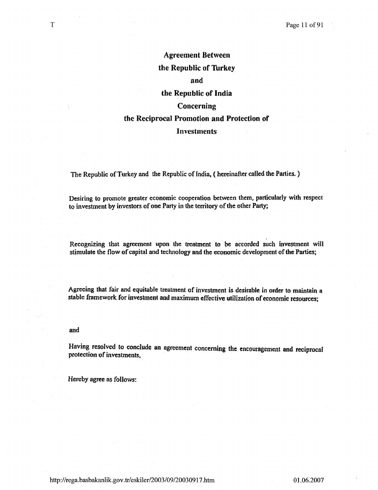# Agreement Between the Republic of Turkey and the Republic of India Concerning the Reciprocal Promotion and Protection of

# Investments

The Republic of Turkey and the Republic of India, ( hereinafter called the Parties. )

Desiring to promote greater economic cooperation between them. particularly with respect to investment by investors of one Party in the territory of the other Party;

Recognizing that agreement upon the treatment to be accorded such investment will stimulate the flow of capital and technology and the economic development of the Parties;

Agreeing that fair and equitable treatment of inVestment is desirable in order to maintain a stable framework for investment and maximum effective utiJizalion of economic resources;

and

Having resolved to conclude an agreement concerning the encouragement and reciprocal protection of investments,

Hereby agree as follows:

T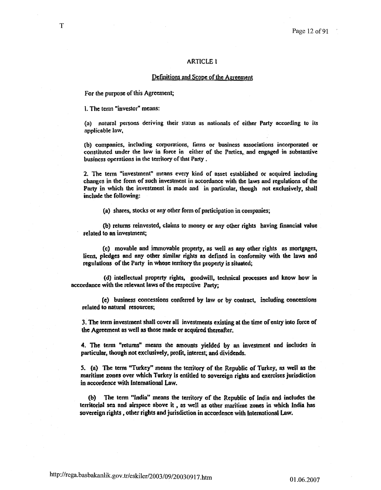# **ARTICLE 1**

## Definitions and Scope of the Agreement

For the purpose of this Agreement;

1. The term "investor" means:

(a) natural persons deriving their status as nationals of either Party according to its applicable law,

(b) companies, including corporations, firms or business associations incorporated or constituted under the law in force in either of the Parties, and engaged in substantive business operations in the territory of that Party.

2. The term "investment" means every kind of asset established or acquired including changes in the form of such investment in accordance with the laws and regulations of the Party in which the investment is made and in particular, though not exclusively, shall include the following:

(a) shares, stocks or any other form of participation in companies;

(b) returns reinvested, claims to money or any other rights having financial value related to an investment;

(c) movable and immovable property, as well as any other rights as mortgages, liens, pledges and any other similar rights as defined in conformity with the laws and regulations of the Party in whose territory the property is situated;

(d) intellectual property rights, goodwill, technical processes and know how in accordance with the relevant laws of the respective Party:

(e) business concessions conferred by law or by contract, including concessions related to natural resources;

3. The term investment shall cover all investments existing at the time of entry into force of the Agreement as well as those made or acquired thereafter.

4. The term "returns" means the amounts yielded by an investment and includes in particular, though not exclusively, profit, interest, and dividends.

5. (a) The term "Turkey" means the territory of the Republic of Turkey, as well as the maritime zones over which Turkey is entitled to sovereign rights and exercises jurisdiction in accordence with International Law.

(b) The term "India" means the territory of the Republic of India and includes the territorial sea and airspace above it, as well as other maritime zones in which India has sovereign rights, other rights and jurisdiction in accordence with International Law.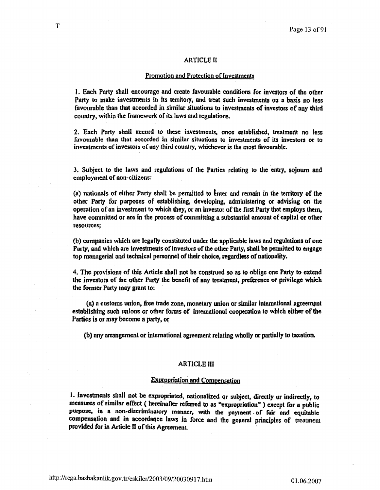### ARTICLE II

## Promotion and Protection of Investments

1. Each Party shall encourage and create favourable conditions for investors of the other Party to make investments in its territory, and treat such investments on a basis no less favourable than that accorded in similar situations to investments of investors of any third country. within the framework of its laws and regulations.

2. Each Party shall accord to these investments. once established, treatment no less favourable than that accorded in similar situations to investments of its investors or to investments of investors of any third country, whichever is the most favourable.

3. Subject to the laws and regulations of the Parties relating to the entry, sojourn and employment of non-citizens:

(a) nationals of either Party shall be permitted to enter and remain in the territory of the other Party {or purposes of establishing, developing. administering or advising on the operation of an investment to which they, or an investor of the first Party that employs them. have committed or are in the process of committing a substantial amount of capital or other resources;

(b) companies which are legally constituted under the applicable laws and regulations of one Party, and which are investments of investors of the other Party, shall be permitted to engage top managerial and technical personnel of their choiee, regardless of nationality.

4. The provisions of this Article shall not be construed so as to oblige one Party to extend the investors of the other Party the benefit of any treatment, preference or privilege which the former Party may grant to:

(8) a customs union, free trade zone. monetary union or similar international agreement establishing such unions or other forms of international cooperation to which either of the Parties is or may become a party, or

(b) any arrangement or international agreement relating wholly or partially to taxation.

# ARTICLE III

# **Expropriation and Compensation**

I. Investments shall not be expropriated, nationalized or subject, directly or indirectly, to measures of similar effect ( hereinafter referred to as "expropriation" ) except for a public purpose, in a non-discriminatory manner, with the payment of fair and equitable compensation and in accordance laws in force and the general principles of treatment provided for in Article II of this Agreement.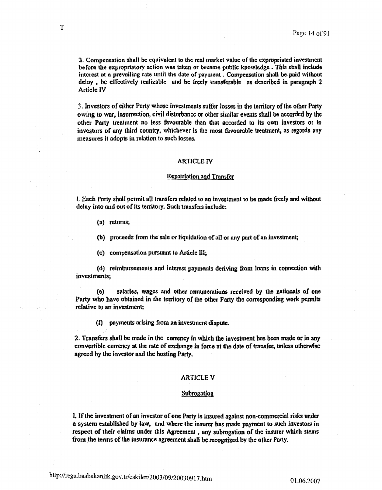2. Compensation shall be equivalent to the real market value of the expropriated investment before the expropriatory action was taken or became public knowledge. This shall include interest at a prevailing rate until the date of payment. Compensation shall be paid without  $delay$ , be effectively realizable and be freely transferable as described in paragraph 2 **Article IV** 

3. Investors of either Party whose investments suffer losses in the territory of the other Party owing to war, insurrection, civil disturbance or other similar events shall be accorded by the other Party treatment no less favourable than that accorded 10 its own investors or to investors of any third country, whichever is the most favourable treatment, as regards any measures it adopts in relation to' such losses.

#### ARTICLE IV

## Repatriation and Transfer

I. Each Party sball permit aU transfers related to an investment to be made freefy and without delay into and out of its terrltory. Such transfers include:

(a) returns;

(h) proceeds from the sale or liquidation of all or any part of an investment;

(e) compensation pursuant to Article 111;.

(d) reimbmsements and interest payments deriving from Joans in connection with investments;

(e) salaries, wages and other remunerations received by the nationals of one Party who have obtained in the territory of the other Party the corresponding work permits relative to an inveslment;

(I) payments arising from an investment dispute.

2. Transfers shall be made in the currency in which the investment has been made or in any convertible currency at the rate of exchange in force at the date of transfer, unless otherwise agreed by (he investor and tbe hosting Party.

# **ARTICLE V**

# Subrogation

I. If lhe investment of an investor of one Party is insured against non-commercial risks under a system established by law, and where the insurer has made payment to such investors in respect of their claims under this Agreement, any subrogation of the insurer which stems from the terms of the insurance agreement shall be recognized by the other Party.

T

http://rega.basbakanlik.gov.tr/eskiler/2003/09/20030917 .htm 01.06.2007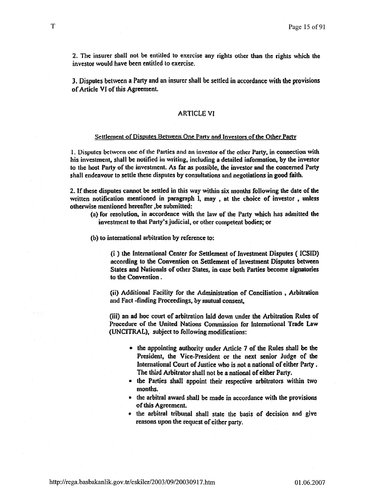2. The insurer shall not be entitled to exercise any rights other than the rights which the investor would have been entitled to exercise.

3. Disputes between a Party and an insurer shall be settled in accordance with the provisions of Article VI of this Agreement.

## **ARTICLE VI**

# Settlement of Disputes Between One Party and Investors of the Other Party

1. Disputes between one of the Parties and an investor of the other Party, in connection with his investment, shall be notified in writing, including a detailed information, by the investor to the host Party of the investment. As far as possible, the investor and the concerned Party shall endeavour to settle these disputes by consultations and negotiations in good faith.

2. If these disputes cannot be settled in this way within six months following the date of the written notification mentioned in paragraph I, may, at the choice of investor, unless otherwise mentioned hereafter, be submitted:

- (a) for resolution, in accordence with the law of the Party which has admitted the investment to that Party's judicial, or other competent bodies; or
- (b) to international arbitration by reference to:

(i) the International Center for Settlement of Investment Disputes (ICSID) according to the Convention on Settlement of Investment Disputes between States and Nationals of other States, in case both Parties become signatories to the Convention.

(ii) Additional Facility for the Administration of Conciliation, Arbitration and Fact-finding Proceedings, by mutual consent,

(iii) an ad hoc court of arbitration laid down under the Arbitration Rules of Procedure of the United Nations Commission for International Trade Law (UNCITRAL), subject to following modifications:

- the appointing authority under Article 7 of the Rules shall be the President, the Vice-President or the next senior Judge of the International Court of Justice who is not a national of either Party. The third Arbitrator shall not be a national of either Party.
- the Parties shall appoint their respective arbitrators within two months.
- the arbitral award shall be made in accordance with the provisions of this Agreement.
- the arbitral tribunal shall state the basis of decision and give reasons upon the request of either party.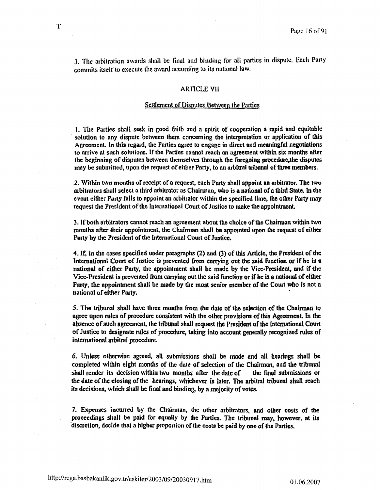3. The arbitration awards shall be final and binding for all parties in dispute. Each Party commits itself to execute the award according to its national law.

# **ARTICLE VII**

## Settlement of Disputes Between the Parties

1. The Parties shall seek in good faith and n spirit of cooperation a rapid and equitable solution to any dispute between them concerning the interpretation or application of this Agreement. In this regard, the Parties agree to engage in direct and meaningful negotiations to arrive at such solutions. If the Parties cannot reach an agreement within six months after the beginning of disputes between themselves through the foregoing procedure.the disputes may be submitted, upon the request of either Party. to an arbitral tribunal of three members.

2. Within two months of receipt of a request, each Party shall appoint an arbitrator. The two arbitrators shall select a third arbitrator as Chairman, who is a national of a third State. In the event either Party fails to appoint an arbitrator within the specified time, the other Party may request the President of the International Court of Justice to make the appointment

1. If both arbitrators cannot reach an agreement about the choice oflhe Chairman within two months after their appointment, the Chairman shall be appointed upon the request of either Party by the President of the International Court of Justice.

4. If, in the cases specified under paragraphs (2) and (3) of this Article, the President of the International Court of Justice is prevented from carrying out the said function or if he is a national of either Party, the appointment shall be made by the Vice-President, and if the Vice-President is prevented from carrying out the said function or if he is a national of either Party, the appointment shall be made by the most senior member of the Court who is not a national of either Party. .

5. The tribunal shall have three months from the date of the selection of the Chairman to agree upon rules of procedure consistent with the other provisions of this Agreemeat. In lhe absence of such agreement, the tribunal shall request the President of the International Court of Justice to designate ruJes of procedure, taking into account geaeral1y recognized rules of international arbitral procedure.

6, Unless otherwise agreed. all submissions shall be made and aU hearings shaU be completed within eight months of the date of selection of the Chairman, and the tribunal shall render its decision within two months after the date of the final submissions or the date of the closing of the hearings, whichever is later. The arbitral tribunal shall reach its decisions, which shall be final and binding, by a majority of votes.

7. Expenses incurred by the Chairman, the other arbitrators, and other costs of the proceedings shall be paid for equally by the Parties. The tribunal may, however, at its discretion, decide that a higher proportion of the costs be paid by one of the Parties,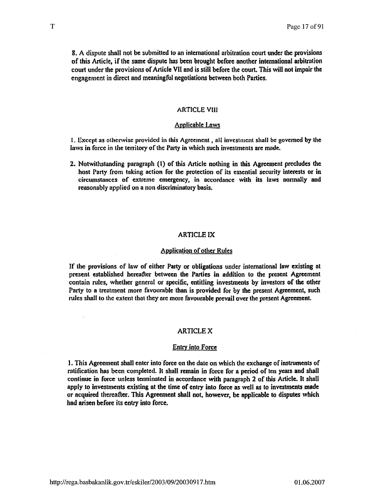8. A dispute shall not be submitted to an international arbitration court under the provisions of this Article, if the same dispute has been brought before another international arbitration court under the provisions of Article VII and is still before the court This will not impair the engagement in direct and meaningful negotiations between both Parties.

## **ARTICLE VIII**

# Applicable Laws

 $I.$  Except as otherwise provided in this Agreement, all investment shall be governed by the laws in force in the territory of the Party in which such investments are made.

2. Notwithstanding paragraph (I) of this Article nothing in this Agreement precludes the host Party from taking aclion for the protection of Its essential security interests or in circumstances of extreme emergency, in accordance with its laws normally and reasonably applied on a non discriminatory basis.

## ARTICLElX

## Application of other Rules

If the provisions of law of either Party or obligations under international law existing at present established hereafter between the Parties in addition to the present Agreement contain rules, whether general or specific, entitling investments by investors of the other Party to a treatment more favourable than is provided for by the present Agreement, such rules shall to the extent that they are more favourable prevail over the present Agreement.

# ARTlCLEX

#### **Entry into Force**

1. This Agreement shall enter into' force on the date on which the exchange of inscruments of ratification has been completed, It shall remain in force for a period of ten years and shail continue in force unless terminated in accordance with paragraph 2 of this Article. It shall apply to investments existing at the time of entry into force as well as 10 investments made or acquired thereafter. This Agreement shall not, however, be applicable to disputes which had arisen before its entry into force.